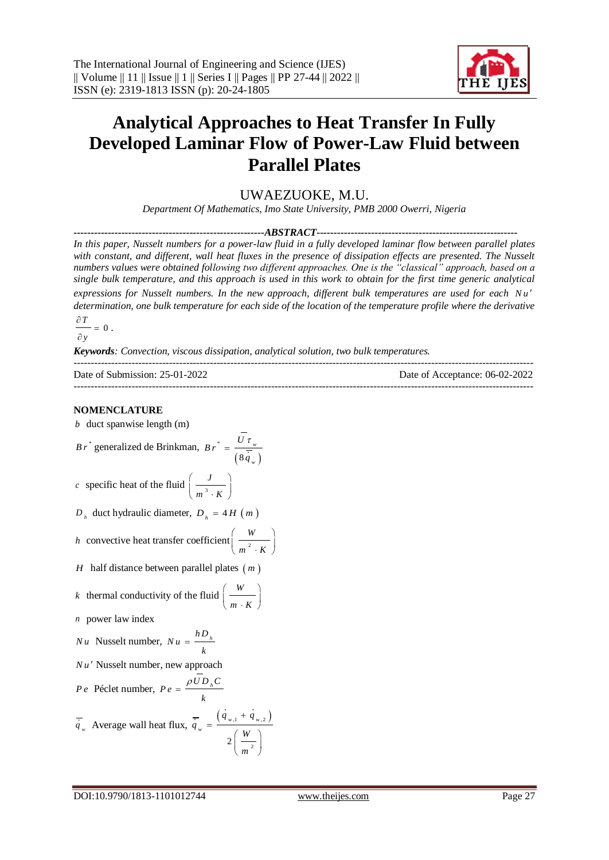

# **Analytical Approaches to Heat Transfer In Fully Developed Laminar Flow of Power-Law Fluid between Parallel Plates**

UWAEZUOKE, M.U.

*Department Of Mathematics, Imo State University, PMB 2000 Owerri, Nigeria*

*--------------------------------------------------------ABSTRACT-----------------------------------------------------------*

*In this paper, Nusselt numbers for a power-law fluid in a fully developed laminar flow between parallel plates*  with constant, and different, wall heat fluxes in the presence of dissipation effects are presented. The Nusselt *numbers values were obtained following two different approaches. One is the "classical" approach, based on a single bulk temperature, and this approach is used in this work to obtain for the first time generic analytical*  expressions for Nusselt numbers. In the new approach, different bulk temperatures are used for each Nu' *determination, one bulk temperature for each side of the location of the temperature profile where the derivative* 

 $\frac{\partial T}{\partial t} = 0$ .

*y*

*Keywords: Convection, viscous dissipation, analytical solution, two bulk temperatures.*

| Date of Submission: 25-01-2022 | Date of Acceptance: 06-02-2022 |
|--------------------------------|--------------------------------|
|                                |                                |

### **NOMENCLATURE**

*b* duct spanwise length (m)

$$
Br^*
$$
 generalized de Brinkman, 
$$
Br^* = \frac{U \tau_w}{\left(8 \overline{\dot{q}}_w\right)}
$$

*c* specific heat of the fluid  $\frac{1}{3}$ *J*  $m^3 \cdot K$  $\begin{pmatrix} &J& \end{pmatrix}$  $\left(\overline{m^3\cdot K}\right)$ 

$$
D_h
$$
duct hydraulic diameter,  $D_h = 4H(m)$ 

*h* convective heat transfer coefficient 
$$
\left(\frac{W}{m^2 \cdot K}\right)
$$

*H* half distance between parallel plates (*m*)

*k* thermal conductivity of the fluid 
$$
\left(\frac{W}{m \cdot K}\right)
$$

*n* power law index

$$
Nu \text{ Nusselt number, } Nu = \frac{hD_h}{k}
$$

*Nu* Nusselt number, new approach

*P e* Péclet number, 
$$
P e = \frac{\rho \overline{U} D_{h} C}{k}
$$
  
 $\overline{\dot{q}}_{w}$  Average wall heat flux,  $\overline{\dot{q}}_{w} = \frac{(\dot{q}_{w,1} + \dot{q}_{w,2})}{2\left(\frac{W}{m^{2}}\right)}$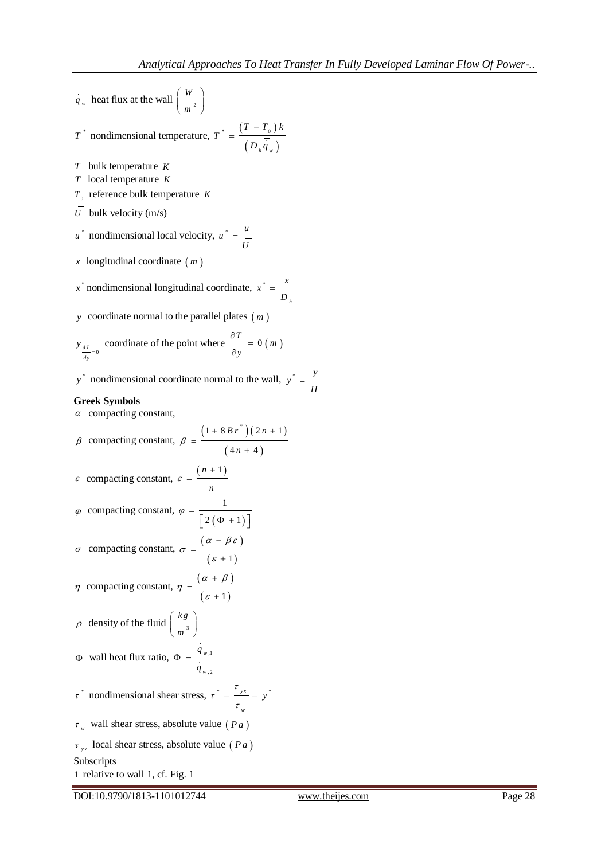*H*  $=$ 

 $q_w$  heat flux at the wall  $\frac{w}{2}$ *W m*  $(W)$  $\left(\frac{1}{m^2}\right)$  $T^*$  nondimensional temperature,  $T^* = \frac{(T - T_0)}{T}$  $\left(D_{h}q_{w}\right)$  $\ddot{\phantom{1}}$   $\ddot{\phantom{1}}$   $\ddot{\phantom{1}}$   $\ddot{\phantom{1}}$   $\ddot{\phantom{1}}$   $\ddot{\phantom{1}}$   $\ddot{\phantom{1}}$   $\ddot{\phantom{1}}$   $\ddot{\phantom{1}}$   $\ddot{\phantom{1}}$   $\ddot{\phantom{1}}$   $\ddot{\phantom{1}}$   $\ddot{\phantom{1}}$   $\ddot{\phantom{1}}$   $\ddot{\phantom{1}}$   $\ddot{\phantom{1}}$   $\ddot{\phantom{1}}$   $\ddot{\phantom{1}}$   $\ddot{\$ *h w*  $T - T_0$ )  $k$ *T*  $D_{\mu}q$  $\overline{a}$ = *T* bulk temperature *K T* local temperature *K*  $T_{0}$  reference bulk temperature *K U* bulk velocity  $(m/s)$ *u*<sup>\*</sup> nondimensional local velocity,  $u^* = \frac{u}{2}$ *U*  $=$ *x* longitudinal coordinate *m*  $x^*$  nondimensional longitudinal coordinate,  $x^*$ *h*  $x^* = \frac{x}{x}$ *D*  $=$ *y* coordinate normal to the parallel plates  $(m)$  $\frac{dT}{dt} = 0$ *dy*  $y_{\frac{dT}{2}}$  coordinate of the point where  $\frac{\partial T}{\partial y} = 0$  (*m*) *y*  $rac{\partial T}{\partial x}$  =  $\partial$ *y*<sup>\*</sup> nondimensional coordinate normal to the wall,  $y^* = \frac{y}{x}$ **Greek Symbols**   $\alpha$  compacting constant,  $\beta$  compacting constant,  $(1+8Br)$   $(2n+1)$  $(4n + 4)$  $1 + 8 B r^{*}$   $(2n + 1$  $4n + 4$ *B*  $r^*$   $(2n)$ *n*  $_{\beta}$  $+8Br^{*}(2n+1)$ =  $^{+}$  $\varepsilon$  compacting constant,  $\varepsilon = \frac{(n+1)}{n}$  $\varepsilon = \frac{(n + n)}{n}$  $=$  $\varphi$  compacting constant,  $(\Phi + 1)$ 1  $2(\Phi + 1)$  $\varphi =$  $\left[ 2(\Phi +1) \right]$  $\sigma$  compacting constant,  $\sigma = \frac{(\alpha - \beta \varepsilon)}{\varepsilon}$  $(\varepsilon + 1)$  $\sigma = \frac{( \alpha - \beta \varepsilon )}{}$ ε  $\overline{a}$  $=$  $^{+}$  $\eta$  compacting constant,  $\eta = \frac{(\alpha + \beta)}{\alpha + \beta}$  $(\varepsilon + 1)$  $\alpha + \beta$  $\eta = \frac{1}{\epsilon}$  $^{+}$  $=$  $^{+}$  $\rho$  density of the fluid  $\frac{1}{\sigma_3}$ *kg m*  $(kg)$  $\left(\overline{m^3}\right)$  $\Phi$  wall heat flux ratio,  $\Phi = \frac{q_{w,1}}{1}$ ,2 *w w q q*  $\Phi =$  $\tau^*$  nondimensional shear stress,  $\tau^* = \frac{\tau_{yx}}{\tau_{yx}} = y^*$ *w*  $\frac{\tau_{yx}}{y} = y$ τ  $=\frac{y}{\tau}$  =  $\tau_w$  wall shear stress, absolute value (*Pa*)  $\tau_{yx}$  local shear stress, absolute value (*Pa*) Subscripts 1 relative to wall 1, cf. Fig. 1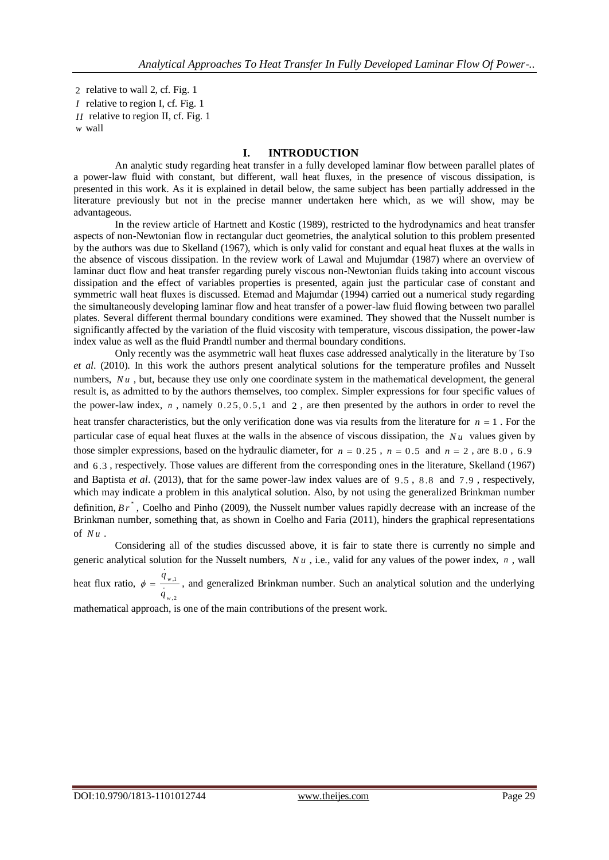2 relative to wall 2, cf. Fig. 1 *I* relative to region I, cf. Fig. 1 *II* relative to region II, cf. Fig. 1 *w* wall

#### **I. INTRODUCTION**

An analytic study regarding heat transfer in a fully developed laminar flow between parallel plates of a power-law fluid with constant, but different, wall heat fluxes, in the presence of viscous dissipation, is presented in this work. As it is explained in detail below, the same subject has been partially addressed in the literature previously but not in the precise manner undertaken here which, as we will show, may be advantageous.

In the review article of Hartnett and Kostic (1989), restricted to the hydrodynamics and heat transfer aspects of non-Newtonian flow in rectangular duct geometries, the analytical solution to this problem presented by the authors was due to Skelland (1967), which is only valid for constant and equal heat fluxes at the walls in the absence of viscous dissipation. In the review work of Lawal and Mujumdar (1987) where an overview of laminar duct flow and heat transfer regarding purely viscous non-Newtonian fluids taking into account viscous dissipation and the effect of variables properties is presented, again just the particular case of constant and symmetric wall heat fluxes is discussed. Etemad and Majumdar (1994) carried out a numerical study regarding the simultaneously developing laminar flow and heat transfer of a power-law fluid flowing between two parallel plates. Several different thermal boundary conditions were examined. They showed that the Nusselt number is significantly affected by the variation of the fluid viscosity with temperature, viscous dissipation, the power-law index value as well as the fluid Prandtl number and thermal boundary conditions.

Only recently was the asymmetric wall heat fluxes case addressed analytically in the literature by Tso *et al*. (2010). In this work the authors present analytical solutions for the temperature profiles and Nusselt numbers, Nu, but, because they use only one coordinate system in the mathematical development, the general result is, as admitted to by the authors themselves, too complex. Simpler expressions for four specific values of the power-law index,  $n$ , namely  $0.25, 0.5, 1$  and  $2$ , are then presented by the authors in order to revel the heat transfer characteristics, but the only verification done was via results from the literature for  $n = 1$ . For the particular case of equal heat fluxes at the walls in the absence of viscous dissipation, the *Nu* values given by those simpler expressions, based on the hydraulic diameter, for  $n = 0.25$ ,  $n = 0.5$  and  $n = 2$ , are 8.0, 6.9 and 6 .3 , respectively. Those values are different from the corresponding ones in the literature, Skelland (1967) and Baptista et al. (2013), that for the same power-law index values are of 9.5, 8.8 and 7.9, respectively, which may indicate a problem in this analytical solution. Also, by not using the generalized Brinkman number definition, Br<sup>\*</sup>, Coelho and Pinho (2009), the Nusselt number values rapidly decrease with an increase of the Brinkman number, something that, as shown in Coelho and Faria (2011), hinders the graphical representations of *Nu* .

Considering all of the studies discussed above, it is fair to state there is currently no simple and generic analytical solution for the Nusselt numbers,  $Nu$ , i.e., valid for any values of the power index,  $n$ , wall

heat flux ratio,  $\phi = \frac{q_{w,1}}{q}$ ,2 *w q*  $\phi = \frac{1 + \mu_{11}}{\mu_{11}}$ , and generalized Brinkman number. Such an analytical solution and the underlying

mathematical approach, is one of the main contributions of the present work.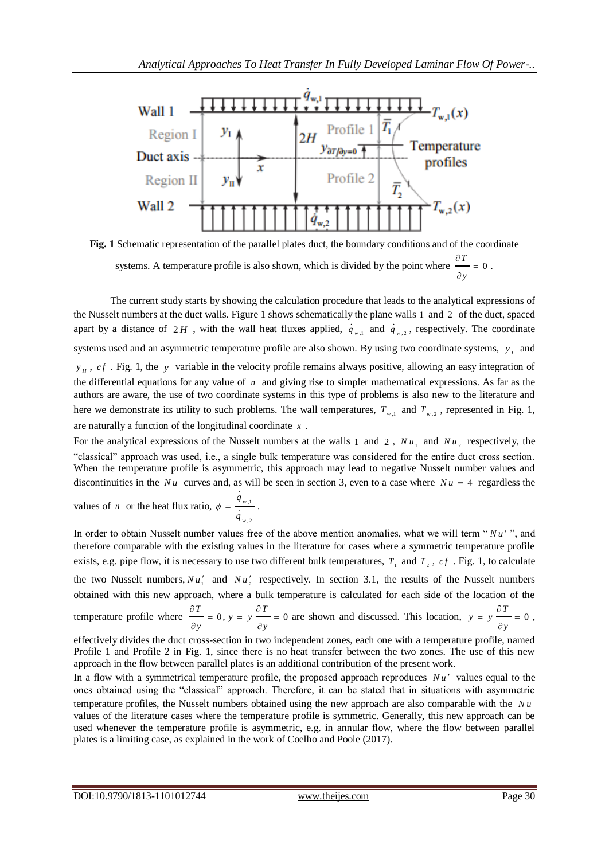

**Fig. 1** Schematic representation of the parallel plates duct, the boundary conditions and of the coordinate systems. A temperature profile is also shown, which is divided by the point where  $\frac{\partial T}{\partial t} = 0$ *y*  $\frac{\partial T}{\partial x}$  $\hat{c}$ .

The current study starts by showing the calculation procedure that leads to the analytical expressions of the Nusselt numbers at the duct walls. Figure 1 shows schematically the plane walls 1 and 2 of the duct, spaced apart by a distance of 2H, with the wall heat fluxes applied,  $q_{w,1}$  and  $q_{w,2}$ , respectively. The coordinate systems used and an asymmetric temperature profile are also shown. By using two coordinate systems,  $y_i$  and *II*<sub>*II</sub>*, *cf*. Fig. 1, the *y* variable in the velocity profile remains always positive, allowing an easy integration of</sub> the differential equations for any value of  $n$  and giving rise to simpler mathematical expressions. As far as the authors are aware, the use of two coordinate systems in this type of problems is also new to the literature and here we demonstrate its utility to such problems. The wall temperatures,  $T_{w,1}$  and  $T_{w,2}$ , represented in Fig. 1, are naturally a function of the longitudinal coordinate *x* .

For the analytical expressions of the Nusselt numbers at the walls 1 and 2,  $Nu_1$  and  $Nu_2$  respectively, the "classical" approach was used, i.e., a single bulk temperature was considered for the entire duct cross section. When the temperature profile is asymmetric, this approach may lead to negative Nusselt number values and discontinuities in the Nu curves and, as will be seen in section 3, even to a case where  $Nu = 4$  regardless the

values of *n* or the heat flux ratio, 
$$
\phi = \frac{q_{w,1}}{q_{w,2}}
$$
.

In order to obtain Nusselt number values free of the above mention anomalies, what we will term " $Nu'$ ", and therefore comparable with the existing values in the literature for cases where a symmetric temperature profile exists, e.g. pipe flow, it is necessary to use two different bulk temperatures,  $T_1$  and  $T_2$ ,  $cf$ . Fig. 1, to calculate the two Nusselt numbers,  $Nu'_1$  and  $Nu'_2$  respectively. In section 3.1, the results of the Nusselt numbers obtained with this new approach, where a bulk temperature is calculated for each side of the location of the temperature profile where  $\frac{\partial T}{\partial t} = 0$ ,  $y = y \frac{\partial T}{\partial t} = 0$ *y y*  $\frac{\partial T}{\partial y} = 0, y = y \frac{\partial T}{\partial y} = 0$  $\frac{\partial T}{\partial y} = 0$ ,  $y = y \frac{\partial T}{\partial y} = 0$  are shown and discussed. This location,  $y = y \frac{\partial T}{\partial y} = 0$ *y*  $= y \frac{\partial T}{\partial x}$  $\hat{o}$ ,

effectively divides the duct cross-section in two independent zones, each one with a temperature profile, named Profile 1 and Profile 2 in Fig. 1, since there is no heat transfer between the two zones. The use of this new approach in the flow between parallel plates is an additional contribution of the present work.

In a flow with a symmetrical temperature profile, the proposed approach reproduces Nu' values equal to the ones obtained using the "classical" approach. Therefore, it can be stated that in situations with asymmetric temperature profiles, the Nusselt numbers obtained using the new approach are also comparable with the *Nu* values of the literature cases where the temperature profile is symmetric. Generally, this new approach can be used whenever the temperature profile is asymmetric, e.g. in annular flow, where the flow between parallel plates is a limiting case, as explained in the work of Coelho and Poole (2017).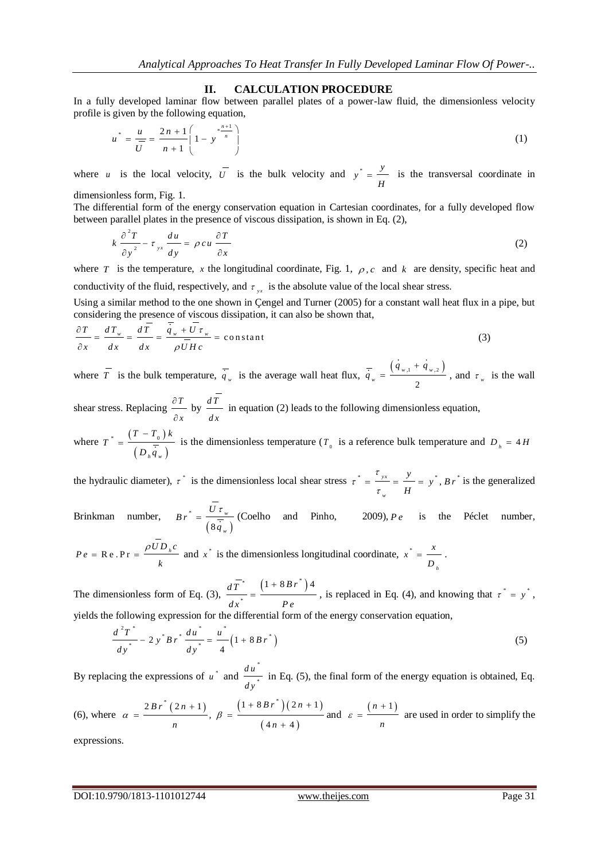#### **II. CALCULATION PROCEDURE**

In a fully developed laminar flow between parallel plates of a power-law fluid, the dimensionless velocity profile is given by the following equation,

$$
u^* = \frac{u}{\overline{U}} = \frac{2n+1}{n+1} \left( 1 - y^* \right)^{\frac{n+1}{n}}
$$
 (1)

where *u* is the local velocity,  $\overline{U}$  is the bulk velocity and  $y^* = \frac{y}{x}$ *H*  $=$   $\frac{1}{2}$  is the transversal coordinate in

dimensionless form, Fig. 1.

The differential form of the energy conservation equation in Cartesian coordinates, for a fully developed flow between parallel plates in the presence of viscous dissipation, is shown in Eq. (2),

$$
k \frac{\partial^2 T}{\partial y^2} - \tau_{yx} \frac{du}{dy} = \rho c u \frac{\partial T}{\partial x}
$$
 (2)

where T is the temperature, x the longitudinal coordinate, Fig. 1,  $\rho$ , c and k are density, specific heat and conductivity of the fluid, respectively, and  $\tau_{yx}$  is the absolute value of the local shear stress.

Using a similar method to the one shown in Çengel and Turner (2005) for a constant wall heat flux in a pipe, but

considering the presence of viscous dissipation, it can also be shown that,  
\n
$$
\frac{\partial T}{\partial x} = \frac{dT_w}{dx} = \frac{dT_w}{dx} = \frac{\overline{q}_w + \overline{U} \tau_w}{\rho \overline{U} H c} = \text{constant}
$$
\n(3)

where  $\overline{T}$  is the bulk temperature,  $\overline{q}_w$  is the average wall heat flux,  $\overline{q}_w = \frac{(q_{w,1} + q_{w,2})}{2}$ 2  $w_{y}$ ,  $1 + 4w_{y}$ *w*  $q_{n+1} + q$ *q*  $\ddot{}$  $=\frac{(-w_1w_2)}{2}$ , and  $\tau_w$  is the wall

shear stress. Replacing  $\frac{\partial T}{\partial x}$ *x*  $\partial$  $\partial$ by  $\frac{dT}{T}$ *dx* in equation (2) leads to the following dimensionless equation,

where  $T^* = \frac{(T - T_0)}{\overline{T}}$  $\left(D_{h}q_{w}\right)$  $\ast$  0 *h w*  $T - T_{0}$ )  $k$ *T*  $D_{\mu}q$  $\overline{a}$  $=\frac{0}{\sqrt{1-\frac{0}{c}}}$  is the dimensionless temperature (T<sub>0</sub> is a reference bulk temperature and D<sub>h</sub> = 4 H

the hydraulic diameter),  $\tau^*$  is the dimensionless local shear stress  $\tau^* = \frac{y}{x} = \frac{y}{x} = y^*$ ,  $B r^*$ *w*  $\frac{y}{x} = y^*$ , B r *H* τ τ  $=\frac{y}{\tau}=\frac{y}{H}=\frac{y}{B}$ , B r<sup>\*</sup> is the generalized

Brinkman number,  $(8q_{w})$ \* 8 *w w*  $B r^* = \frac{U}{\sqrt{2}}$ *q*  $=\frac{U\tau_{w}}{\tau_{e}}$  (Coelho and Pinho, 2009), *P e* is the Péclet number,

$$
P e = \text{Re.} \text{Pr} = \frac{\rho \overline{U} D_h c}{k}
$$
 and  $x^*$  is the dimensionless longitudinal coordinate,  $x^* = \frac{x}{D_h}$ .

The dimensionless form of Eq. (3),  $\frac{d\overline{T}^*}{dt} = \frac{(1 + 8 B r^*)}{(1 + 8 B r^*)}$ \*  $d\overline{T}^* \quad (1+8 B r^*)^4$  $dx^*$  Pe  $^{+}$  $=\frac{y}{x}$ , is replaced in Eq. (4), and knowing that  $\tau^* = y^*$ , yields the following expression for the differential form of the energy conservation equation,

$$
\frac{d^2T^*}{dy^*} - 2y^*Br^* \frac{du^*}{dy^*} = \frac{u^*}{4} (1 + 8Br^*)
$$
\n(5)

By replacing the expressions of  $u^*$  and \* \* *du dy* in Eq. (5), the final form of the energy equation is obtained, Eq.

(6), where 
$$
\alpha = \frac{2Br^*(2n+1)}{n}
$$
,  $\beta = \frac{(1+8Br^*)(2n+1)}{(4n+4)}$  and  $\varepsilon = \frac{(n+1)}{n}$  are used in order to simplify the

expressions.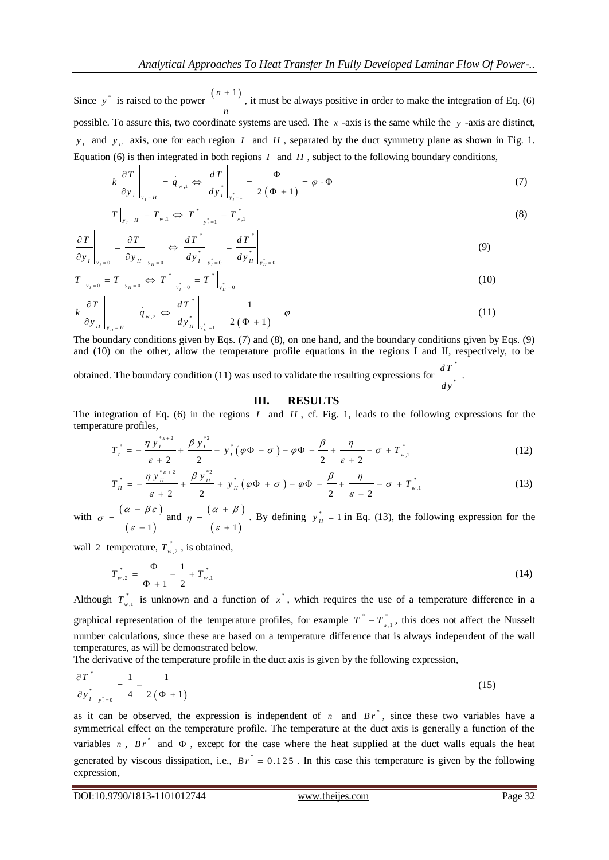Since  $y^*$  is raised to the power  $\frac{(n+1)}{n+1}$ *n*  $\frac{+1}{-}$ , it must be always positive in order to make the integration of Eq. (6) possible. To assure this, two coordinate systems are used. The *x* -axis is the same while the *y* -axis are distinct,  $y_I$  and  $y_{II}$  axis, one for each region *I* and *II*, separated by the duct symmetry plane as shown in Fig. 1.

Equation (6) is then integrated in both regions *I* and *II*, subject to the following boundary conditions,  
\n
$$
k \frac{\partial T}{\partial y_I}\Big|_{y_I = H} = \frac{i}{q_{w,1}} \Leftrightarrow \frac{dT}{dy_I^*}\Big|_{y_I^* = 1} = \frac{\Phi}{2(\Phi + 1)} = \varphi \cdot \Phi
$$
\n(7)

$$
T\Big|_{y_I = H} = T_{w,1} \Leftrightarrow T^*\Big|_{y_I^* = 1} = T^*_{w,1}
$$
\n(8)

$$
\left.\frac{\partial T}{\partial y_I}\right|_{y_I=0} = \left.\frac{\partial T}{\partial y_{II}}\right|_{y_{II}=0} \Leftrightarrow \left.\frac{dT^*}{dy_I^*}\right|_{y_I^*=0} = \left.\frac{dT^*}{dy_{II}^*}\right|_{y_{II}^*=0}
$$
\n(9)

$$
T\Big|_{y_I=0} = T\Big|_{y_{II}=0} \Leftrightarrow T^*\Big|_{y_I^*=0} = T^*\Big|_{y_{II}^*=0}
$$
\n
$$
V\left(\frac{\partial T}{\partial x_{II}}\right) = \frac{dT^*}{dx_{II}^*} = \frac{1}{dx_{II}^*} = \frac{1}{x_{II}^*} \tag{11}
$$

$$
k \frac{\partial T}{\partial y_H}\Big|_{y_H = H} = \dot{q}_{w,2} \Leftrightarrow \left. \frac{dT^*}{dy^*_{H}}\right|_{y^*_{H} = 1} = \frac{1}{2(\Phi + 1)} = \varphi
$$
\n(11)

The boundary conditions given by Eqs. (7) and (8), on one hand, and the boundary conditions given by Eqs. (9) and (10) on the other, allow the temperature profile equations in the regions I and II, respectively, to be

obtained. The boundary condition (11) was used to validate the resulting expressions for \* \* *dT dy* .

#### **III. RESULTS**

The integration of Eq. (6) in the regions *I* and *II*, cf. Fig. 1, leads to the following expressions for the temperature profiles,<br>  $T^* = -\frac{\eta y_i^{*_{\varepsilon+2}}}{\eta} + \frac{\beta y_i^{*_{\varepsilon+2}}}{\eta} + v^*(\omega \Phi + \sigma) - \omega \Phi - \frac{\beta}{\eta} + \frac{\eta}{\eta} - \sigma + T$ temperature profiles, \* $\epsilon$  + 2  $\beta$   $v^*$  2 Lq. (0) in<br>s,<br> $y_i^{*_{\varepsilon+2}} + \frac{\beta y_i}{ }$ 

ture profiles,  
\n
$$
T_{I}^{*} = -\frac{\eta y_{I}^{*_{\varepsilon+2}}}{\varepsilon+2} + \frac{\beta y_{I}^{*2}}{2} + y_{I}^{*}(\varphi\Phi + \sigma) - \varphi\Phi - \frac{\beta}{2} + \frac{\eta}{\varepsilon+2} - \sigma + T_{w,1}^{*}
$$
\n(12)  
\n
$$
T_{w}^{*} = -\frac{\eta y_{II}^{*_{\varepsilon+2}}}{2} + \frac{\beta y_{II}^{*2}}{2} + y_{w}^{*}(\varphi\Phi + \sigma) - \varphi\Phi - \frac{\beta}{2} + \frac{\eta}{\varepsilon+2} - \sigma + T^{*}.
$$
\n(13)

$$
\varepsilon + 2 \qquad 2 \qquad \varepsilon + 2 \qquad \varepsilon + 2 \qquad \varepsilon + 2 \qquad \varepsilon + 2 \qquad (13)
$$
  

$$
T_{II}^{*} = -\frac{\eta y_{II}^{*_{\varepsilon+2}}}{\varepsilon + 2} + \frac{\beta y_{II}^{*2}}{2} + y_{II}^{*} (\varphi \Phi + \sigma) - \varphi \Phi - \frac{\beta}{2} + \frac{\eta}{\varepsilon + 2} - \sigma + T_{w,1}^{*}
$$

with  $\sigma = \frac{(\alpha - \beta \varepsilon)}{(\alpha - \beta \varepsilon)}$  $(\varepsilon - 1)$  $\sigma = \frac{( \alpha - \beta \varepsilon )}{}$ ε  $\overline{a}$  $=$  $\overline{a}$ and  $\eta = \frac{(\alpha + \beta)}{(\alpha + \beta)}$  $(\varepsilon + 1)$  $\alpha + \beta$  $\eta = \frac{1}{\epsilon}$  $^{+}$  $=$  $^{+}$ . By defining  $y_{II}^* = 1$  in Eq. (13), the following expression for the

wall 2 temperature,  $T_{w,2}^*$ , is obtained,

$$
T_{w,2}^* = \frac{\Phi}{\Phi + 1} + \frac{1}{2} + T_{w,1}^*
$$
 (14)

Although  $T_{w,1}^*$  is unknown and a function of  $x^*$ , which requires the use of a temperature difference in a graphical representation of the temperature profiles, for example  $T^* - T^*_{w,1}$ , this does not affect the Nusselt number calculations, since these are based on a temperature difference that is always independent of the wall temperatures, as will be demonstrated below.

The derivative of the temperature profile in the duct axis is given by the following expression,

$$
\left. \frac{\partial T^*}{\partial y^*_{I}} \right|_{y^*_{I} = 0} = \frac{1}{4} - \frac{1}{2(\Phi + 1)}
$$
\n(15)

as it can be observed, the expression is independent of  $n$  and  $B r^*$ , since these two variables have a symmetrical effect on the temperature profile. The temperature at the duct axis is generally a function of the variables  $n$ ,  $Br^*$  and  $\Phi$ , except for the case where the heat supplied at the duct walls equals the heat generated by viscous dissipation, i.e.,  $Br^* = 0.125$ . In this case this temperature is given by the following expression,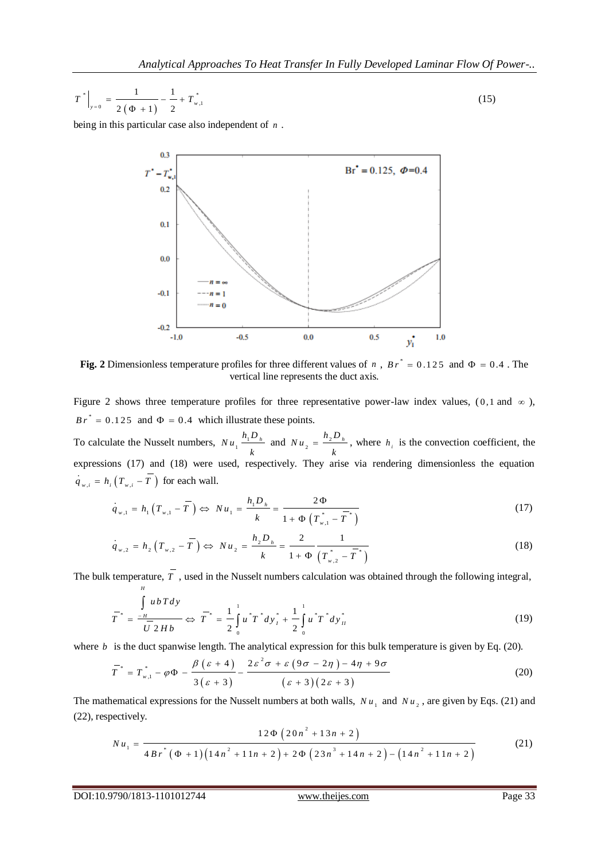$$
T^* \Big|_{y=0} = \frac{1}{2(\Phi + 1)} - \frac{1}{2} + T^*_{w,1}
$$
 (15)

being in this particular case also independent of *n* .



Fig. 2 Dimensionless temperature profiles for three different values of *n*,  $Br^* = 0.125$  and  $\Phi = 0.4$ . The vertical line represents the duct axis.

Figure 2 shows three temperature profiles for three representative power-law index values,  $(0, 1 \text{ and } \infty)$ ,  $Br^* = 0.125$  and  $\Phi = 0.4$  which illustrate these points.

To calculate the Nusselt numbers,  $Nu_1 \frac{h_1 D_h}{h_1}$ *k* and  $Nu_2 = \frac{h_2 D_h}{h}$ *k*  $=\frac{2-h}{\lambda}$ , where  $h_i$  is the convection coefficient, the expressions (17) and (18) were used, respectively. They arise via rendering dimensionless the equation  $\dot{q}_{w,i} = h_i \left( T_{w,i} - T \right)$  for each wall.

$$
(T_{w,i} - T)
$$
 for each wall.  
\n
$$
\dot{q}_{w,1} = h_1 (T_{w,1} - \overline{T}) \Leftrightarrow Nu_1 = \frac{h_1 D_h}{k} = \frac{2\Phi}{1 + \Phi (T_{w,1}^* - \overline{T}^*)}
$$
\n(17)

$$
k = 1 + \Phi \left( T_{w,1}^{\dagger} - T^{\dagger} \right)
$$
  

$$
\dot{q}_{w,2} = h_2 \left( T_{w,2} - \overline{T} \right) \Leftrightarrow Nu_2 = \frac{h_2 D_h}{k} = \frac{2}{1 + \Phi \left( T_{w,2}^{\dagger} - \overline{T}^{\dagger} \right)}
$$
(18)

The bulk temperature, *T*, used in the Nusselt numbers calculation was obtained through the following integral,  
\n
$$
\overline{T}^* = \frac{\int_{-H}^{H} u \, b \, T \, dy}{\overline{U} \, 2 \, H \, b} \Leftrightarrow \overline{T}^* = \frac{1}{2} \int_{0}^{1} u^* \overline{T}^* \, dy_I^* + \frac{1}{2} \int_{0}^{1} u^* \overline{T}^* \, dy_{II}^*
$$
\n(19)

where *b* is the duct spanwise length. The analytical expression for this bulk temperature is given by Eq. (20).  
\n
$$
\overline{T}^* = T^*_{w,1} - \varphi \Phi - \frac{\beta (\varepsilon + 4)}{3 (\varepsilon + 3)} - \frac{2\varepsilon^2 \sigma + \varepsilon (9\sigma - 2\eta) - 4\eta + 9\sigma}{(\varepsilon + 3)(2\varepsilon + 3)}
$$
\n(20)

The mathematical expressions for the Nusselt numbers at both walls,  $Nu_1$  and  $Nu_2$ , are given by Eqs. (21) and (22), respectively.<br>  $Nu =$   $\frac{12\Phi(20n^2 + 13n + 2)}{(21)}$  (21)

(22), respectively.  
\n
$$
Nu_{1} = \frac{12\Phi\left(20n^{2} + 13n + 2\right)}{4Br^{*}\left(\Phi + 1\right)\left(14n^{2} + 11n + 2\right) + 2\Phi\left(23n^{3} + 14n + 2\right) - \left(14n^{2} + 11n + 2\right)}
$$
\n(21)

*H*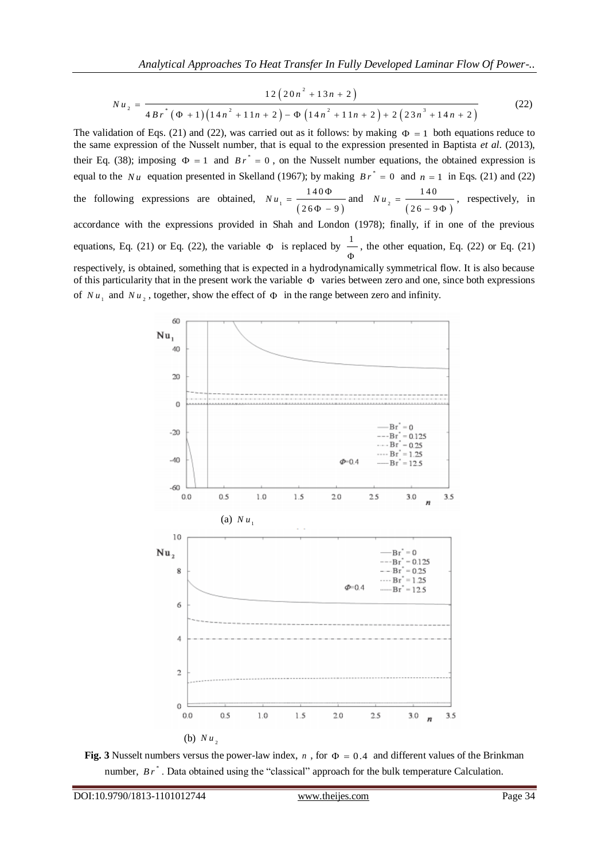Analytical Approaches To Heat Transfer In Fully Development.   
\n
$$
Nu_{2} = \frac{12(20n^{2} + 13n + 2)}{4Br^{*}(\Phi + 1)(14n^{2} + 11n + 2) - \Phi(14n^{2} + 11n + 2) + 2(23n^{3} + 14n + 2)}
$$
\n(22)

The validation of Eqs. (21) and (22), was carried out as it follows: by making  $\Phi = 1$  both equations reduce to the same expression of the Nusselt number, that is equal to the expression presented in Baptista *et al*. (2013), their Eq. (38); imposing  $\Phi = 1$  and  $Br^* = 0$ , on the Nusselt number equations, the obtained expression is equal to the Nu equation presented in Skelland (1967); by making  $Br^* = 0$  and  $n = 1$  in Eqs. (21) and (22) the following expressions are obtained, <sup>1</sup>  $(26\Phi - 9)$ 140  $26 \Phi - 9$  $Nu_{1} = \frac{140\Phi}{\sqrt{11}}$  $\Phi - \frac{6}{5}$ and <sup>2</sup>  $(26-9\Phi)$ 140  $26 - 9$  $N u_{\gamma} =$  $-9\Phi$ , respectively, in accordance with the expressions provided in Shah and London (1978); finally, if in one of the previous equations, Eq. (21) or Eq. (22), the variable  $\Phi$  is replaced by  $\frac{1}{\epsilon}$ Φ , the other equation, Eq. (22) or Eq. (21) respectively, is obtained, something that is expected in a hydrodynamically symmetrical flow. It is also because of this particularity that in the present work the variable  $\Phi$  varies between zero and one, since both expressions of  $Nu_1$  and  $Nu_2$ , together, show the effect of  $\Phi$  in the range between zero and infinity.



**Fig. 3** Nusselt numbers versus the power-law index,  $n$ , for  $\Phi = 0.4$  and different values of the Brinkman number, *Br*<sup>\*</sup>. Data obtained using the "classical" approach for the bulk temperature Calculation.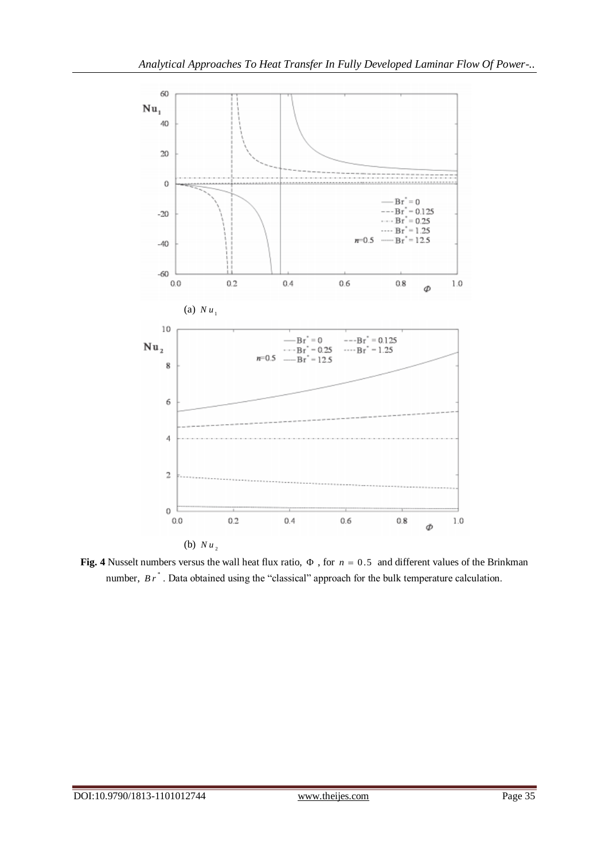

**Fig. 4** Nusselt numbers versus the wall heat flux ratio,  $\Phi$ , for  $n = 0.5$  and different values of the Brinkman number,  $Br^*$ . Data obtained using the "classical" approach for the bulk temperature calculation.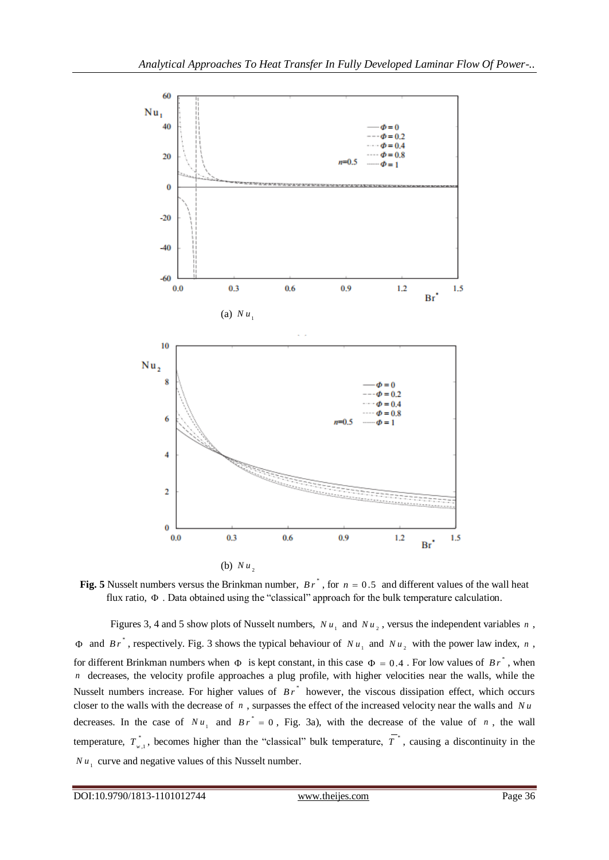

**Fig. 5** Nusselt numbers versus the Brinkman number,  $B r^*$ , for  $n = 0.5$  and different values of the wall heat flux ratio,  $\Phi$ . Data obtained using the "classical" approach for the bulk temperature calculation.

Figures 3, 4 and 5 show plots of Nusselt numbers,  $Nu_1$  and  $Nu_2$ , versus the independent variables n,  $\Phi$  and  $Br^*$ , respectively. Fig. 3 shows the typical behaviour of  $Nu_1$  and  $Nu_2$  with the power law index, n, for different Brinkman numbers when  $\Phi$  is kept constant, in this case  $\Phi = 0.4$ . For low values of  $Br^*$ , when *n* decreases, the velocity profile approaches a plug profile, with higher velocities near the walls, while the Nusselt numbers increase. For higher values of  $Br^*$  however, the viscous dissipation effect, which occurs closer to the walls with the decrease of  $n$ , surpasses the effect of the increased velocity near the walls and  $Nu$ decreases. In the case of  $Nu_1$  and  $Br^* = 0$ , Fig. 3a), with the decrease of the value of *n*, the wall temperature,  $T^*_{w,1}$ , becomes higher than the "classical" bulk temperature,  $T^*$ , causing a discontinuity in the  $Nu_{1}$  curve and negative values of this Nusselt number.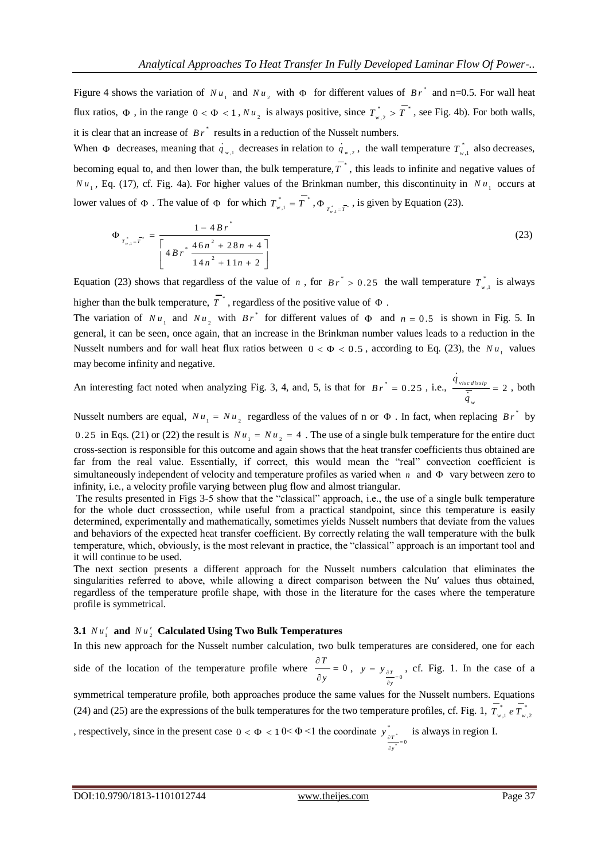Figure 4 shows the variation of  $Nu_1$  and  $Nu_2$  with  $\Phi$  for different values of  $Br^*$  and n=0.5. For wall heat flux ratios,  $\Phi$ , in the range  $0 < \Phi < 1$ ,  $Nu_{2}$  is always positive, since  $T^{*}_{w,2} > T^{*}$ , see Fig. 4b). For both walls, it is clear that an increase of  $Br^*$  results in a reduction of the Nusselt numbers.

When  $\Phi$  decreases, meaning that  $q_{w,1}$  decreases in relation to  $q_{w,2}$ , the wall temperature  $T_{w,1}^*$  also decreases, becoming equal to, and then lower than, the bulk temperature,  $T^*$ , this leads to infinite and negative values of  $Nu_1$ , Eq. (17), cf. Fig. 4a). For higher values of the Brinkman number, this discontinuity in  $Nu_1$  occurs at lower values of  $\Phi$ . The value of  $\Phi$  for which  $T^*_{w,1} = T^*$ ,  $\Phi_{T^*_{w,1} = T^*}$ , is given by Equation (23).

$$
\Phi_{T_{w,1}^* = T^*} = \frac{1 - 4 B r^*}{\left[ 4 B r^* \frac{46 n^2 + 28 n + 4}{14 n^2 + 11 n + 2} \right]}
$$
(23)

Equation (23) shows that regardless of the value of *n*, for  $Br^* > 0.25$  the wall temperature  $T_{w,1}^*$  is always higher than the bulk temperature,  $T^*$ , regardless of the positive value of  $\Phi$ .

The variation of  $Nu_1$  and  $Nu_2$  with  $Br^*$  for different values of  $\Phi$  and  $n = 0.5$  is shown in Fig. 5. In general, it can be seen, once again, that an increase in the Brinkman number values leads to a reduction in the Nusselt numbers and for wall heat flux ratios between  $0 < \Phi < 0.5$ , according to Eq. (23), the  $Nu_{1}$  values may become infinity and negative.

An interesting fact noted when analyzing Fig. 3, 4, and, 5, is that for  $Br^* = 0.25$ , i.e.,  $\frac{4 \text{ visc} \text{ dissip}}{7} = 2$ *w q q*  $= 2$ , both

Nusselt numbers are equal,  $Nu_1 = Nu_2$  regardless of the values of n or  $\Phi$ . In fact, when replacing  $Br^*$  by 0.25 in Eqs. (21) or (22) the result is  $Nu_1 = Nu_2 = 4$ . The use of a single bulk temperature for the entire duct cross-section is responsible for this outcome and again shows that the heat transfer coefficients thus obtained are far from the real value. Essentially, if correct, this would mean the "real" convection coefficient is simultaneously independent of velocity and temperature profiles as varied when  $n$  and  $\Phi$  vary between zero to infinity, i.e., a velocity profile varying between plug flow and almost triangular.

The results presented in Figs 3-5 show that the "classical" approach, i.e., the use of a single bulk temperature for the whole duct crosssection, while useful from a practical standpoint, since this temperature is easily determined, experimentally and mathematically, sometimes yields Nusselt numbers that deviate from the values and behaviors of the expected heat transfer coefficient. By correctly relating the wall temperature with the bulk temperature, which, obviously, is the most relevant in practice, the "classical" approach is an important tool and it will continue to be used.

The next section presents a different approach for the Nusselt numbers calculation that eliminates the singularities referred to above, while allowing a direct comparison between the Nu′ values thus obtained, regardless of the temperature profile shape, with those in the literature for the cases where the temperature profile is symmetrical.

## **3.1**  $Nu'_1$  and  $Nu'_2$  Calculated Using Two Bulk Temperatures

In this new approach for the Nusselt number calculation, two bulk temperatures are considered, one for each

side of the location of the temperature profile where  $\frac{\partial T}{\partial t} = 0$ *y*  $rac{\partial T}{\partial x}$  =  $\hat{o}$ ,  $y = y_{\frac{\partial T}{\partial t}}$ *y*  $y = y_{\frac{\partial T}{\partial y}}$  $y_{\text{ar}}$ , cf. Fig. 1. In the case of a

symmetrical temperature profile, both approaches produce the same values for the Nusselt numbers. Equations (24) and (25) are the expressions of the bulk temperatures for the two temperature profiles, cf. Fig. 1,  $T_{w,1}^* e T_{w,2}^*$ 

, respectively, since in the present case  $0 < \Phi < 10 < \Phi < 1$  the coordinate  $y_{\text{max}}$ \* \*  $y \int_{\frac{\partial T}{\partial x}}^{\infty}$  is always in region I. *y* ĉ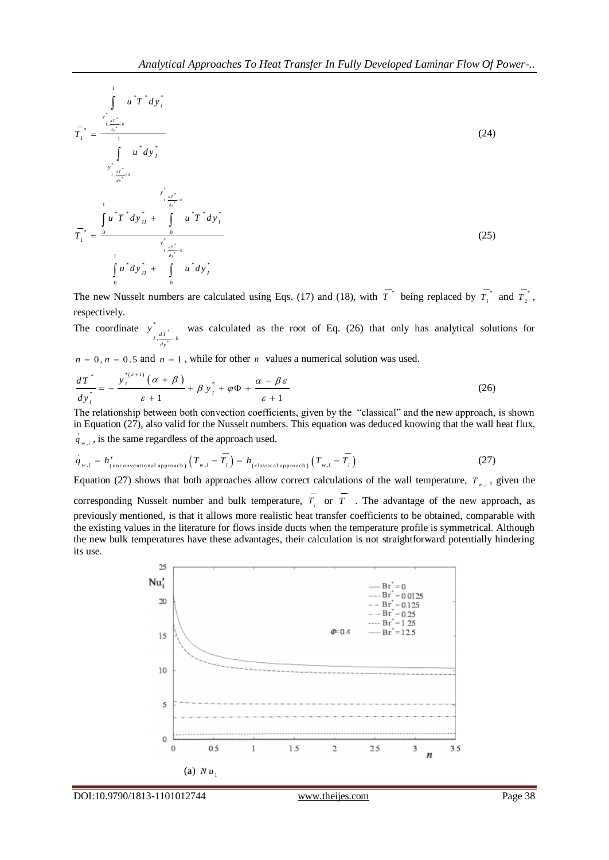$$
\overline{T}_{1}^{*} = \frac{\int_{\substack{r_{1}^{*} \text{at}^{*} = 0 \\ \text{in} \text{at} \\ r_{2}^{*} = 0}} \mu^{*} d y_{I}^{*}}{\int_{\substack{r_{2}^{*} \text{at}^{*} = 0 \\ \text{at} \text{at} \\ \text{at} \text{at} \\ \text{at} \text{at} \\ r_{1}^{*} = 0}} \frac{\int_{\substack{r_{1}^{*} \text{at} \text{at} \\ \text{at} \\ r_{2}^{*} = 0}} \mu^{*} d y_{I}^{*}}{\int_{\substack{r_{1}^{*} \text{at} \\ \text{at} \\ r_{3}^{*} = 0}} \frac{\int_{\substack{r_{2}^{*} \text{at} \\ \text{at} \\ \text{at} \\ \text{at} \\ \text{at} \\ r_{4}^{*} = 0}} \mu^{*} T^{*} d y_{I}^{*} + \int_{\substack{r_{1}^{*} \text{at} \\ \text{at} \\ \text{at} \\ r_{3}^{*} = 0}} \mu^{*} d y_{I}^{*} + \int_{\substack{r_{2}^{*} \text{at} \\ \text{at} \\ r_{4}^{*} = 0}} \mu^{*} d y_{I}^{*} \tag{25}
$$

The new Nusselt numbers are calculated using Eqs. (17) and (18), with  $T^*$  being replaced by  $T^*$  $T_1^*$  and  $T_2^*$  $T$ <sup> $\,{}^{i}$ </sup>, respectively.

The coordinate  $y = x^*$ \* \*  $I, \frac{dT}{dt} = 0$ *dy y*  $=$ was calculated as the root of Eq. (26) that only has analytical solutions for

$$
n = 0, n = 0.5 \text{ and } n = 1 \text{ , while for other } n \text{ values a numerical solution was used.}
$$
\n
$$
\frac{dT^*}{dy_i^*} = -\frac{y_i^{*(\varepsilon+1)}(\alpha+\beta)}{\varepsilon+1} + \beta y_i^* + \varphi \Phi + \frac{\alpha-\beta\varepsilon}{\varepsilon+1}
$$
\n(26)

The relationship between both convection coefficients, given by the "classical" and the new approach, is shown in Equation (27), also valid for the Nusselt numbers. This equation was deduced knowing that the wall heat flux,

$$
\dot{q}_{w,i} \text{, is the same regardless of the approach used.}
$$
\n
$$
\dot{q}_{w,i} = h'_{\text{(unconventional approach)}} \left( T_{w,i} - \overline{T_i} \right) = h_{\text{(classical approach)}} \left( T_{w,i} - \overline{T_i} \right) \tag{27}
$$

Equation (27) shows that both approaches allow correct calculations of the wall temperature,  $T_{w,i}$ , given the

corresponding Nusselt number and bulk temperature,  $T_i$  or  $T_i$ . The advantage of the new approach, as previously mentioned, is that it allows more realistic heat transfer coefficients to be obtained, comparable with the existing values in the literature for flows inside ducts when the temperature profile is symmetrical. Although the new bulk temperatures have these advantages, their calculation is not straightforward potentially hindering its use.

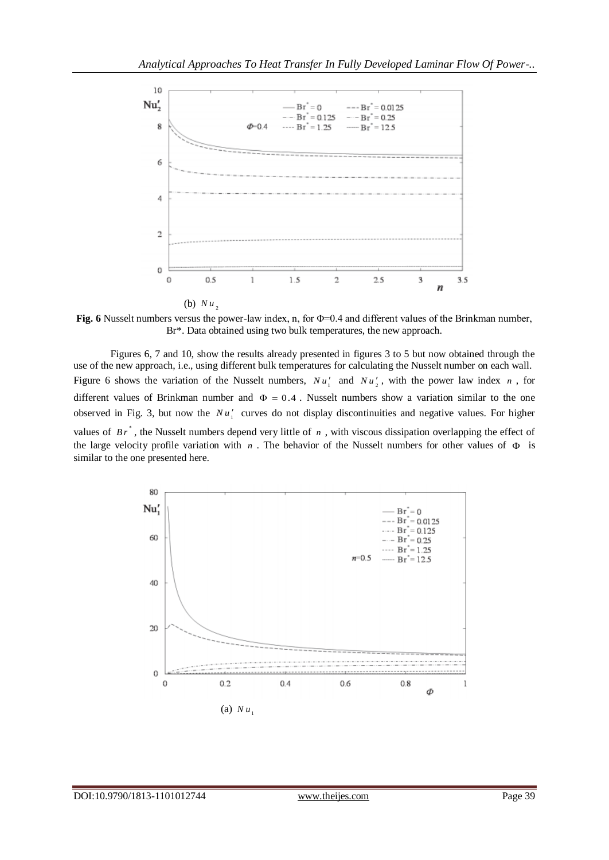

**Fig. 6** Nusselt numbers versus the power-law index, n, for Φ=0.4 and different values of the Brinkman number, Br\*. Data obtained using two bulk temperatures, the new approach.

Figures 6, 7 and 10, show the results already presented in figures 3 to 5 but now obtained through the use of the new approach, i.e., using different bulk temperatures for calculating the Nusselt number on each wall. Figure 6 shows the variation of the Nusselt numbers,  $Nu'_1$  and  $Nu'_2$ , with the power law index n, for different values of Brinkman number and  $\Phi = 0.4$ . Nusselt numbers show a variation similar to the one observed in Fig. 3, but now the  $Nu'_1$  curves do not display discontinuities and negative values. For higher values of  $Br^*$ , the Nusselt numbers depend very little of  $n$ , with viscous dissipation overlapping the effect of the large velocity profile variation with  $n$ . The behavior of the Nusselt numbers for other values of  $\Phi$  is similar to the one presented here.

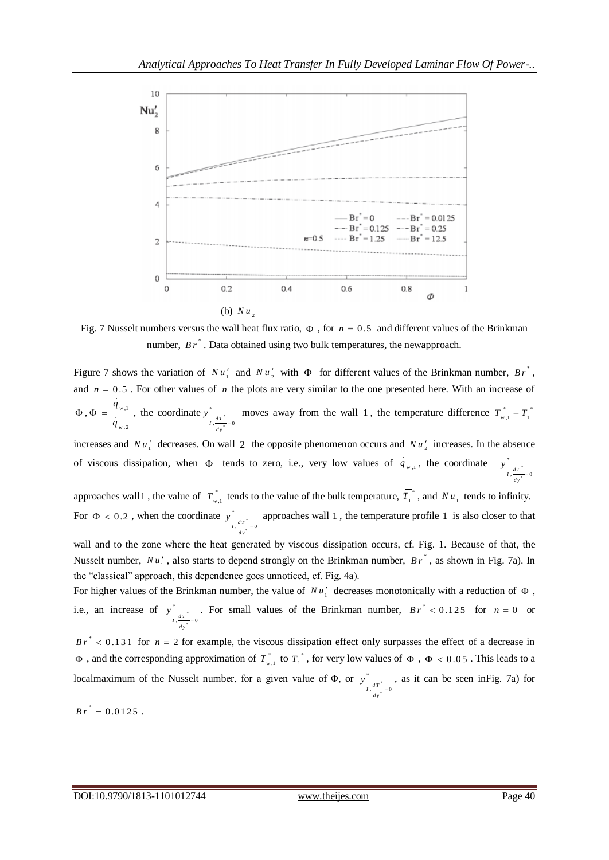

Fig. 7 Nusselt numbers versus the wall heat flux ratio,  $\Phi$ , for  $n = 0.5$  and different values of the Brinkman number,  $B r^*$ . Data obtained using two bulk temperatures, the newapproach.

Figure 7 shows the variation of  $Nu'_1$  and  $Nu'_2$  with  $\Phi$  for different values of the Brinkman number,  $Br^*$ , and  $n = 0.5$ . For other values of *n* the plots are very similar to the one presented here. With an increase of ,1 ,2  $, \Phi = \frac{4 w}{h}$ *w q q*  $\Phi$ ,  $\Phi = \frac{I_{w,1}}{I_{w,1}}$ , the coordinate  $y^*_{I_{w,1}}$ \* \*  $I, \frac{dT}{dt} = 0$ *dy y* = moves away from the wall 1, the temperature difference  $T_{w,1}^* - T_1^*$ 

increases and  $Nu'_1$  decreases. On wall 2 the opposite phenomenon occurs and  $Nu'_2$  increases. In the absence of viscous dissipation, when  $\Phi$  tends to zero, i.e., very low values of  $q_{w,1}$ , the coordinate  $y^*_{ar}$ \*  $I, \frac{dT}{dy}=0$ *y*  $\equiv$ 

approaches wall 1, the value of  $T_{w,1}^*$  tends to the value of the bulk temperature,  $T_1^*$  $T_1^*$ , and  $Nu_1$  tends to infinity. For  $\Phi < 0.2$ , when the coordinate  $y^*$ \* \*  $I, \frac{dT}{dt} = 0$ *dy y* = approaches wall 1 , the temperature profile 1 is also closer to that

wall and to the zone where the heat generated by viscous dissipation occurs, cf. Fig. 1. Because of that, the Nusselt number,  $Nu'_1$ , also starts to depend strongly on the Brinkman number,  $Br^*$ , as shown in Fig. 7a). In the "classical" approach, this dependence goes unnoticed, cf. Fig. 4a).

For higher values of the Brinkman number, the value of  $Nu'_1$  decreases monotonically with a reduction of  $\Phi$ , i.e., an increase of  $y^*$ \* \*  $I, \frac{dT}{dt} = 0$ *dy y*  $\overline{a}$ . For small values of the Brinkman number,  $Br^* < 0.125$  for  $n = 0$  or

 $Br^*$  < 0.131 for  $n = 2$  for example, the viscous dissipation effect only surpasses the effect of a decrease in  $\Phi$ , and the corresponding approximation of  $T^{*}_{w,1}$  to  $T^{*}_{1}$  $T_1^*$ , for very low values of  $\Phi$ ,  $\Phi$  < 0.05. This leads to a localmaximum of the Nusselt number, for a given value of  $\Phi$ , or  $y^*$ \*  $I, \frac{dT}{dt} = 0$ *dy y*  $\overline{a}$ , as it can be seen inFig. 7a) for

 $B r^* = 0.0125$ .

\*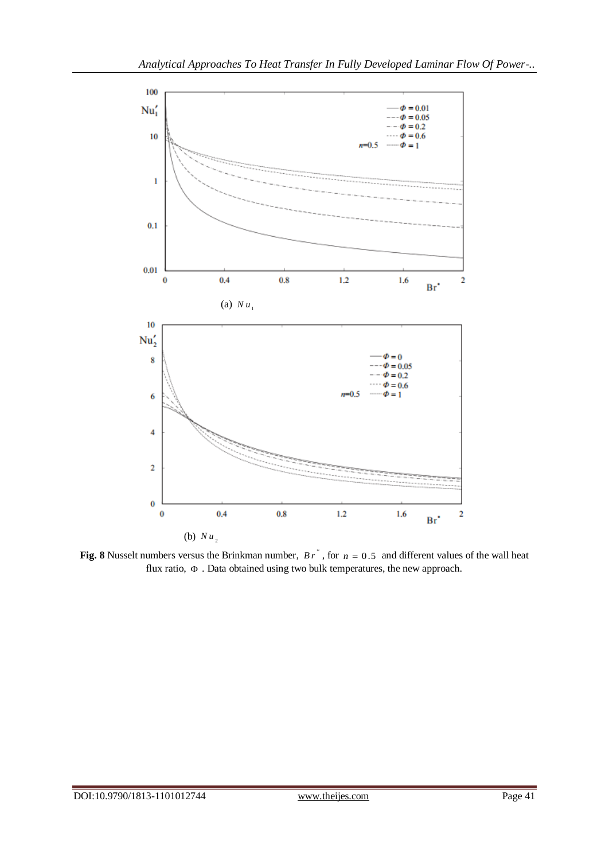

**Fig. 8** Nusselt numbers versus the Brinkman number,  $B r^*$ , for  $n = 0.5$  and different values of the wall heat flux ratio,  $\Phi$ . Data obtained using two bulk temperatures, the new approach.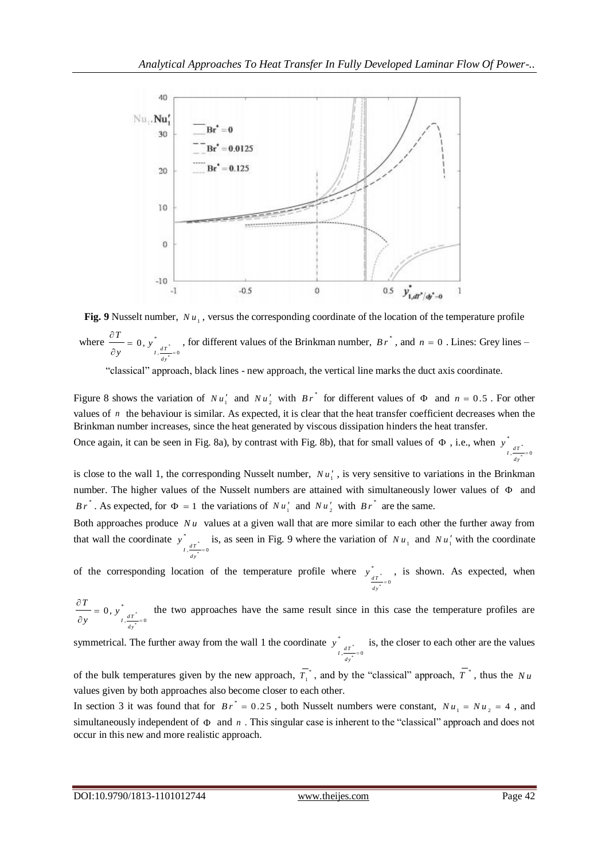

**Fig. 9** Nusselt number,  $Nu_1$ , versus the corresponding coordinate of the location of the temperature profile where  $\frac{0.1}{0.1}$  = 0, y<sup>\*</sup> \* \*  $, \frac{\overline{\phantom{0}}}{\overline{\phantom{0}}}=0$  $\begin{array}{c} 0, y \\ \frac{dT}{L} \end{array}$ *d y*  $\frac{T}{y} = 0, y$  $y$   $I, \frac{dT}{dx}$  $\frac{\partial T}{\partial x}$  =  $\partial$ , for different values of the Brinkman number,  $B r^*$ , and  $n = 0$ . Lines: Grey lines –

"classical" approach, black lines - new approach, the vertical line marks the duct axis coordinate.

Figure 8 shows the variation of  $Nu'_1$  and  $Nu'_2$  with  $Br^*$  for different values of  $\Phi$  and  $n = 0.5$ . For other values of  $n$  the behaviour is similar. As expected, it is clear that the heat transfer coefficient decreases when the Brinkman number increases, since the heat generated by viscous dissipation hinders the heat transfer.

Once again, it can be seen in Fig. 8a), by contrast with Fig. 8b), that for small values of  $\Phi$ , i.e., when  $y_{\text{max}}$ \* \*  $I, \frac{dT}{dy}=0$ *y*  $\equiv$ 

is close to the wall 1, the corresponding Nusselt number,  $Nu'_1$ , is very sensitive to variations in the Brinkman number. The higher values of the Nusselt numbers are attained with simultaneously lower values of  $\Phi$  and *Br*<sup>\*</sup>. As expected, for  $\Phi = 1$  the variations of  $Nu'_1$  and  $Nu'_2$  with  $Br^*$  are the same.

Both approaches produce  $Nu$  values at a given wall that are more similar to each other the further away from that wall the coordinate  $y^*$ \* \*  $I, \frac{dT}{dy}=0$ *y*  $\overline{a}$ is, as seen in Fig. 9 where the variation of  $Nu_1$  and  $Nu'_1$  with the coordinate

of the corresponding location of the temperature profile where  $y_{xx}^*$ \* \*  $\int \frac{dT^*}{dT^*} = 0$ *dy*  $\overline{a}$ , is shown. As expected, when

\* \* \*  $\frac{1}{2}$ ,  $\frac{1}{2}$  = 0  $\begin{array}{c} 0, y \\ \frac{dT}{L} \end{array}$ *d y*  $\frac{T}{y} = 0, y$  $y$   $I, \frac{dT}{dr}$  $\frac{\partial T}{\partial x}$  =  $\partial$ the two approaches have the same result since in this case the temperature profiles are

symmetrical. The further away from the wall 1 the coordinate  $y^*$ \* \*  $I, \frac{dT}{dt} = 0$ *dy y* is, the closer to each other are the values  $\frac{1}{10}$ 

of the bulk temperatures given by the new approach,  $T_1^*$  $\overline{T}_1^*$ , and by the "classical" approach,  $\overline{T}^*$ , thus the Nu values given by both approaches also become closer to each other.

In section 3 it was found that for  $Br^* = 0.25$ , both Nusselt numbers were constant,  $Nu_1 = Nu_2 = 4$ , and simultaneously independent of  $\Phi$  and  $n$ . This singular case is inherent to the "classical" approach and does not occur in this new and more realistic approach.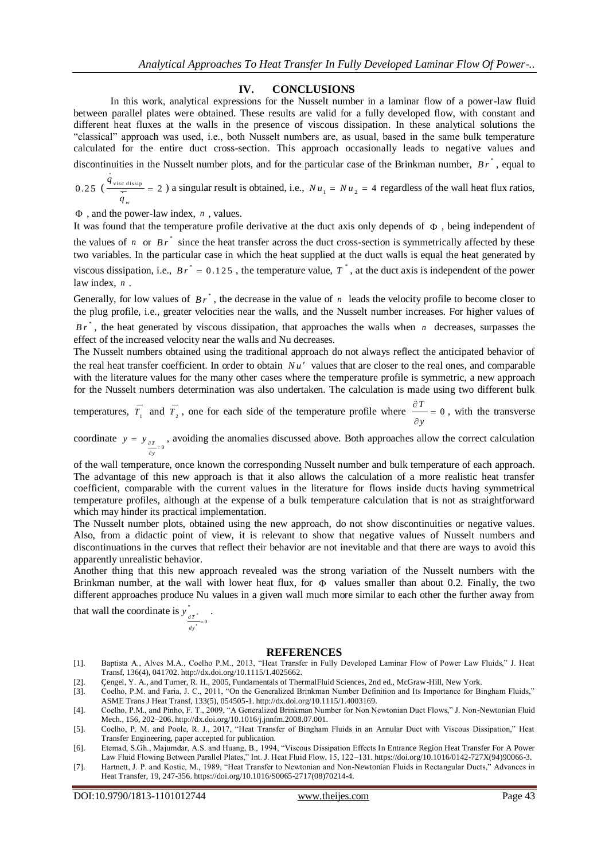#### **IV. CONCLUSIONS**

In this work, analytical expressions for the Nusselt number in a laminar flow of a power-law fluid between parallel plates were obtained. These results are valid for a fully developed flow, with constant and different heat fluxes at the walls in the presence of viscous dissipation. In these analytical solutions the "classical" approach was used, i.e., both Nusselt numbers are, as usual, based in the same bulk temperature calculated for the entire duct cross-section. This approach occasionally leads to negative values and discontinuities in the Nusselt number plots, and for the particular case of the Brinkman number, Br<sup>\*</sup>, equal to

 $0.25 \left( \frac{q_{\text{visc}}}{\frac{1}{2}} \right) = 2$ *w q*  $= 2$ ) a singular result is obtained, i.e.,  $Nu_1 = Nu_2 = 4$  regardless of the wall heat flux ratios,

, and the power-law index, *n* , values.

It was found that the temperature profile derivative at the duct axis only depends of  $\Phi$ , being independent of the values of  $n$  or  $B r^*$  since the heat transfer across the duct cross-section is symmetrically affected by these two variables. In the particular case in which the heat supplied at the duct walls is equal the heat generated by viscous dissipation, i.e.,  $Br^* = 0.125$ , the temperature value,  $T^*$ , at the duct axis is independent of the power law index, *n* .

Generally, for low values of  $B r^*$ , the decrease in the value of  $n$  leads the velocity profile to become closer to the plug profile, i.e., greater velocities near the walls, and the Nusselt number increases. For higher values of

 $Br^*$ , the heat generated by viscous dissipation, that approaches the walls when *n* decreases, surpasses the effect of the increased velocity near the walls and Nu decreases.

The Nusselt numbers obtained using the traditional approach do not always reflect the anticipated behavior of the real heat transfer coefficient. In order to obtain  $Nu'$  values that are closer to the real ones, and comparable with the literature values for the many other cases where the temperature profile is symmetric, a new approach for the Nusselt numbers determination was also undertaken. The calculation is made using two different bulk

temperatures,  $\overline{T_1}$  and  $\overline{T_2}$ , one for each side of the temperature profile where  $\frac{\partial T}{\partial T} = 0$ *y*  $rac{\partial T}{\partial x}$  =  $\hat{o}$ , with the transverse

coordinate  $y = y_{\frac{\partial T}{\partial x}}$ *y*  $y = y_{\frac{\partial T}{\partial y}}$  $y_{\text{av}}$ , avoiding the anomalies discussed above. Both approaches allow the correct calculation

of the wall temperature, once known the corresponding Nusselt number and bulk temperature of each approach. The advantage of this new approach is that it also allows the calculation of a more realistic heat transfer coefficient, comparable with the current values in the literature for flows inside ducts having symmetrical temperature profiles, although at the expense of a bulk temperature calculation that is not as straightforward which may hinder its practical implementation.

The Nusselt number plots, obtained using the new approach, do not show discontinuities or negative values. Also, from a didactic point of view, it is relevant to show that negative values of Nusselt numbers and discontinuations in the curves that reflect their behavior are not inevitable and that there are ways to avoid this apparently unrealistic behavior.

Another thing that this new approach revealed was the strong variation of the Nusselt numbers with the Brinkman number, at the wall with lower heat flux, for  $\Phi$  values smaller than about 0.2. Finally, the two different approaches produce Nu values in a given wall much more similar to each other the further away from

that wall the coordinate is  $y_{n*}^*$ \* \*  $\frac{dT}{T} = 0$ *dy y*  $\ddot{\phantom{0}}$ .

#### **REFERENCES**

- [1]. Baptista A., Alves M.A., Coelho P.M., 2013, "Heat Transfer in Fully Developed Laminar Flow of Power Law Fluids," J. Heat Transf, 136(4), 041702. http://dx.doi.org/10.1115/1.4025662.
- [2]. Gengel, Y. A., and Turner, R. H., 2005, Fundamentals of ThermalFluid Sciences, 2nd ed., McGraw-Hill, New York.<br>[3]. Coelho, P.M. and Faria, J. C., 2011, "On the Generalized Brinkman Number Definition and Its Importanc
- [3]. Coelho, P.M. and Faria, J. C., 2011, "On the Generalized Brinkman Number Definition and Its Importance for Bingham Fluids," ASME Trans J Heat Transf, 133(5), 054505-1. http://dx.doi.org/10.1115/1.4003169.
- [4]. Coelho, P.M., and Pinho, F. T., 2009, "A Generalized Brinkman Number for Non Newtonian Duct Flows," J. Non-Newtonian Fluid Mech., 156, 202–206. http://dx.doi.org/10.1016/j.jnnfm.2008.07.001.
- [5]. Coelho, P. M. and Poole, R. J., 2017, "Heat Transfer of Bingham Fluids in an Annular Duct with Viscous Dissipation," Heat Transfer Engineering, paper accepted for publication.
- [6]. Etemad, S.Gh., Majumdar, A.S. and Huang, B., 1994, "Viscous Dissipation Effects In Entrance Region Heat Transfer For A Power Law Fluid Flowing Between Parallel Plates," Int. J. Heat Fluid Flow, 15, 122–131. https://doi.org/10.1016/0142-727X(94)90066-3.
- [7]. Hartnett, J. P. and Kostic, M., 1989, "Heat Transfer to Newtonian and Non-Newtonian Fluids in Rectangular Ducts," Advances in Heat Transfer, 19, 247-356. https://doi.org/10.1016/S0065-2717(08)70214-4.